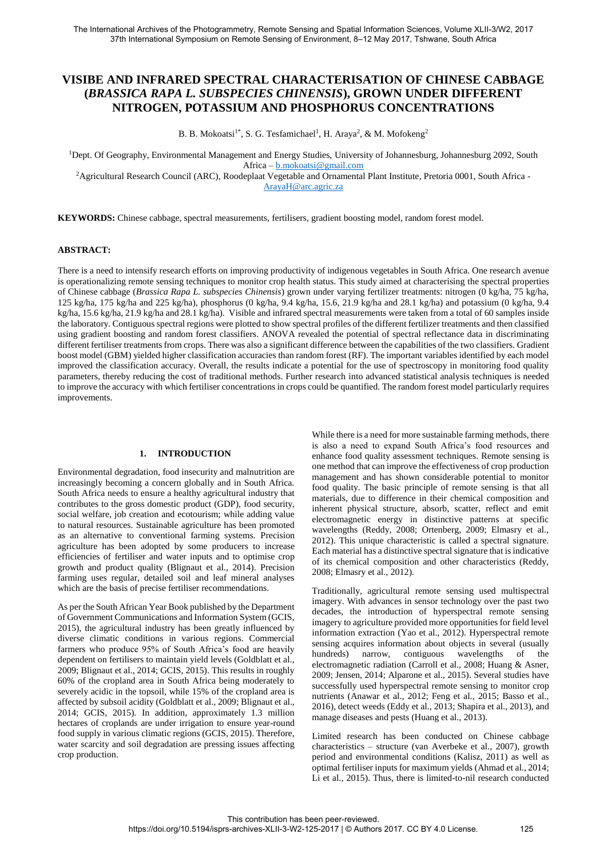# **VISIBE AND INFRARED SPECTRAL CHARACTERISATION OF CHINESE CABBAGE (***BRASSICA RAPA L. SUBSPECIES CHINENSIS***), GROWN UNDER DIFFERENT NITROGEN, POTASSIUM AND PHOSPHORUS CONCENTRATIONS**

B. B. Mokoatsi<sup>1\*</sup>, S. G. Tesfamichael<sup>1</sup>, H. Araya<sup>2</sup>, & M. Mofokeng<sup>2</sup>

<sup>1</sup>Dept. Of Geography, Environmental Management and Energy Studies, University of Johannesburg, Johannesburg 2092, South Africa – [b.mokoatsi@gmail.com](mailto:b.mokoatsi@gmail.com) 

<sup>2</sup>Agricultural Research Council (ARC), Roodeplaat Vegetable and Ornamental Plant Institute, Pretoria 0001, South Africa -[ArayaH@arc.agric.za](mailto:ArayaH@arc.agric.za) 

**KEYWORDS:** Chinese cabbage, spectral measurements, fertilisers, gradient boosting model, random forest model.

## **ABSTRACT:**

There is a need to intensify research efforts on improving productivity of indigenous vegetables in South Africa. One research avenue is operationalizing remote sensing techniques to monitor crop health status. This study aimed at characterising the spectral properties of Chinese cabbage (*Brassica Rapa L. subspecies Chinensis*) grown under varying fertilizer treatments: nitrogen (0 kg/ha, 75 kg/ha, 125 kg/ha, 175 kg/ha and 225 kg/ha), phosphorus (0 kg/ha, 9.4 kg/ha, 15.6, 21.9 kg/ha and 28.1 kg/ha) and potassium (0 kg/ha, 9.4 kg/ha, 15.6 kg/ha, 21.9 kg/ha and 28.1 kg/ha). Visible and infrared spectral measurements were taken from a total of 60 samples inside the laboratory. Contiguous spectral regions were plotted to show spectral profiles of the different fertilizer treatments and then classified using gradient boosting and random forest classifiers. ANOVA revealed the potential of spectral reflectance data in discriminating different fertiliser treatments from crops. There was also a significant difference between the capabilities of the two classifiers. Gradient boost model (GBM) yielded higher classification accuracies than random forest (RF). The important variables identified by each model improved the classification accuracy. Overall, the results indicate a potential for the use of spectroscopy in monitoring food quality parameters, thereby reducing the cost of traditional methods. Further research into advanced statistical analysis techniques is needed to improve the accuracy with which fertiliser concentrations in crops could be quantified. The random forest model particularly requires improvements.

#### **1. INTRODUCTION**

Environmental degradation, food insecurity and malnutrition are increasingly becoming a concern globally and in South Africa. South Africa needs to ensure a healthy agricultural industry that contributes to the gross domestic product (GDP), food security, social welfare, job creation and ecotourism; while adding value to natural resources. Sustainable agriculture has been promoted as an alternative to conventional farming systems. Precision agriculture has been adopted by some producers to increase efficiencies of fertiliser and water inputs and to optimise crop growth and product quality (Blignaut et al., 2014). Precision farming uses regular, detailed soil and leaf mineral analyses which are the basis of precise fertiliser recommendations.

As per the South African Year Book published by the Department of Government Communications and Information System (GCIS, 2015), the agricultural industry has been greatly influenced by diverse climatic conditions in various regions. Commercial farmers who produce 95% of South Africa's food are heavily dependent on fertilisers to maintain yield levels (Goldblatt et al., 2009; Blignaut et al., 2014; GCIS, 2015). This results in roughly 60% of the cropland area in South Africa being moderately to severely acidic in the topsoil, while 15% of the cropland area is affected by subsoil acidity (Goldblatt et al., 2009; Blignaut et al., 2014; GCIS, 2015). In addition, approximately 1.3 million hectares of croplands are under irrigation to ensure year-round food supply in various climatic regions (GCIS, 2015). Therefore, water scarcity and soil degradation are pressing issues affecting crop production.

While there is a need for more sustainable farming methods, there is also a need to expand South Africa's food resources and enhance food quality assessment techniques. Remote sensing is one method that can improve the effectiveness of crop production management and has shown considerable potential to monitor food quality. The basic principle of remote sensing is that all materials, due to difference in their chemical composition and inherent physical structure, absorb, scatter, reflect and emit electromagnetic energy in distinctive patterns at specific wavelengths (Reddy, 2008; Ortenberg, 2009; Elmasry et al., 2012). This unique characteristic is called a spectral signature. Each material has a distinctive spectral signature that is indicative of its chemical composition and other characteristics (Reddy, 2008; Elmasry et al., 2012).

Traditionally, agricultural remote sensing used multispectral imagery. With advances in sensor technology over the past two decades, the introduction of hyperspectral remote sensing imagery to agriculture provided more opportunities for field level information extraction (Yao et al., 2012). Hyperspectral remote sensing acquires information about objects in several (usually hundreds) narrow, contiguous wavelengths of the electromagnetic radiation (Carroll et al., 2008; Huang & Asner, 2009; Jensen, 2014; Alparone et al., 2015). Several studies have successfully used hyperspectral remote sensing to monitor crop nutrients (Anawar et al., 2012; Feng et al., 2015; Basso et al., 2016), detect weeds (Eddy et al., 2013; Shapira et al., 2013), and manage diseases and pests (Huang et al., 2013).

Limited research has been conducted on Chinese cabbage characteristics – structure (van Averbeke et al., 2007), growth period and environmental conditions (Kalisz, 2011) as well as optimal fertiliser inputs for maximum yields (Ahmad et al., 2014; Li et al., 2015). Thus, there is limited-to-nil research conducted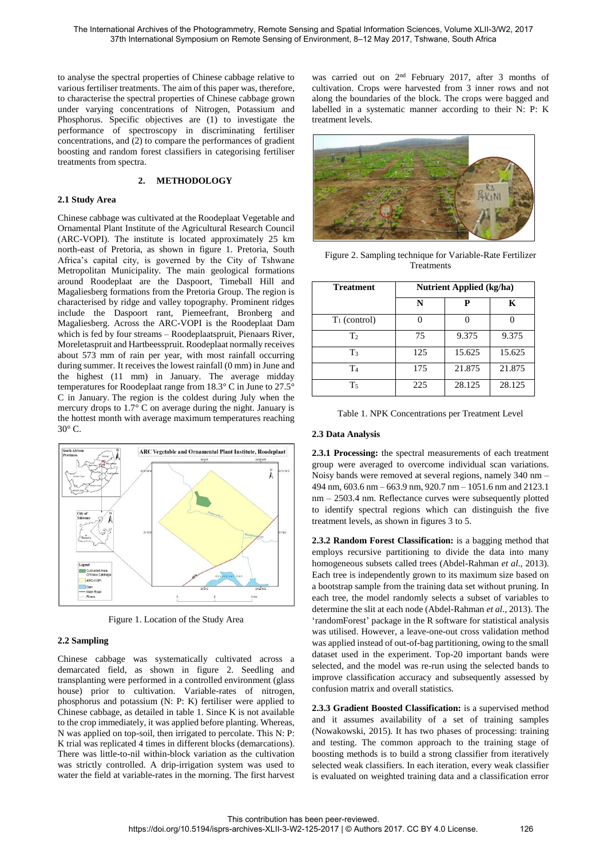to analyse the spectral properties of Chinese cabbage relative to various fertiliser treatments. The aim of this paper was, therefore, to characterise the spectral properties of Chinese cabbage grown under varying concentrations of Nitrogen, Potassium and Phosphorus. Specific objectives are (1) to investigate the performance of spectroscopy in discriminating fertiliser concentrations, and  $(2)$  to compare the performances of gradient boosting and random forest classifiers in categorising fertiliser treatments from spectra.

## **2. METHODOLOGY**

#### **2.1 Study Area**

Chinese cabbage was cultivated at the Roodeplaat Vegetable and Ornamental Plant Institute of the Agricultural Research Council (ARC-VOPI). The institute is located approximately 25 km north-east of Pretoria, as shown in figure 1. Pretoria, South Africa's capital city, is governed by the City of Tshwane Metropolitan Municipality. The main geological formations around Roodeplaat are the Daspoort, Timeball Hill and Magaliesberg formations from the Pretoria Group. The region is characterised by ridge and valley topography. Prominent ridges include the Daspoort rant, Piemeefrant, Bronberg and Magaliesberg. Across the ARC-VOPI is the Roodeplaat Dam which is fed by four streams – Roodeplaatspruit, Pienaars River, Moreletaspruit and Hartbeesspruit. Roodeplaat normally receives about 573 mm of rain per year, with most rainfall occurring during summer. It receives the lowest rainfall (0 mm) in June and the highest (11 mm) in January. The average midday temperatures for Roodeplaat range from 18.3° C in June to 27.5° C in January. The region is the coldest during July when the mercury drops to 1.7° C on average during the night. January is the hottest month with average maximum temperatures reaching 30° C.



Figure 1. Location of the Study Area

# **2.2 Sampling**

Chinese cabbage was systematically cultivated across a demarcated field, as shown in figure 2. Seedling and transplanting were performed in a controlled environment (glass house) prior to cultivation. Variable-rates of nitrogen, phosphorus and potassium (N: P: K) fertiliser were applied to Chinese cabbage, as detailed in table 1. Since K is not available to the crop immediately, it was applied before planting. Whereas, N was applied on top-soil, then irrigated to percolate. This N: P: K trial was replicated 4 times in different blocks (demarcations). There was little-to-nil within-block variation as the cultivation was strictly controlled. A drip-irrigation system was used to water the field at variable-rates in the morning. The first harvest

was carried out on 2<sup>nd</sup> February 2017, after 3 months of cultivation. Crops were harvested from 3 inner rows and not along the boundaries of the block. The crops were bagged and labelled in a systematic manner according to their N: P: K treatment levels.



Figure 2. Sampling technique for Variable-Rate Fertilizer **Treatments** 

| <b>Treatment</b> | <b>Nutrient Applied (kg/ha)</b> |        |        |  |  |  |
|------------------|---------------------------------|--------|--------|--|--|--|
|                  | N                               | Р      | K      |  |  |  |
| $T_1$ (control)  |                                 |        |        |  |  |  |
| T <sub>2</sub>   | 75                              | 9.375  | 9.375  |  |  |  |
| $T_3$            | 125                             | 15.625 | 15.625 |  |  |  |
| T4               | 175                             | 21.875 | 21.875 |  |  |  |
| T <sub>5</sub>   | 225                             | 28.125 | 28.125 |  |  |  |

|  |  | Table 1. NPK Concentrations per Treatment Level |  |  |  |
|--|--|-------------------------------------------------|--|--|--|
|--|--|-------------------------------------------------|--|--|--|

#### **2.3 Data Analysis**

**2.3.1 Processing:** the spectral measurements of each treatment group were averaged to overcome individual scan variations. Noisy bands were removed at several regions, namely 340 nm – 494 nm, 603.6 nm – 663.9 nm, 920.7 nm – 1051.6 nm and 2123.1 nm – 2503.4 nm. Reflectance curves were subsequently plotted to identify spectral regions which can distinguish the five treatment levels, as shown in figures 3 to 5.

**2.3.2 Random Forest Classification:** is a bagging method that employs recursive partitioning to divide the data into many homogeneous subsets called trees (Abdel-Rahman *et al*., 2013). Each tree is independently grown to its maximum size based on a bootstrap sample from the training data set without pruning. In each tree, the model randomly selects a subset of variables to determine the slit at each node (Abdel-Rahman *et al*., 2013). The 'randomForest' package in the R software for statistical analysis was utilised. However, a leave-one-out cross validation method was applied instead of out-of-bag partitioning, owing to the small dataset used in the experiment. Top-20 important bands were selected, and the model was re-run using the selected bands to improve classification accuracy and subsequently assessed by confusion matrix and overall statistics.

**2.3.3 Gradient Boosted Classification:** is a supervised method and it assumes availability of a set of training samples (Nowakowski, 2015). It has two phases of processing: training and testing. The common approach to the training stage of boosting methods is to build a strong classifier from iteratively selected weak classifiers. In each iteration, every weak classifier is evaluated on weighted training data and a classification error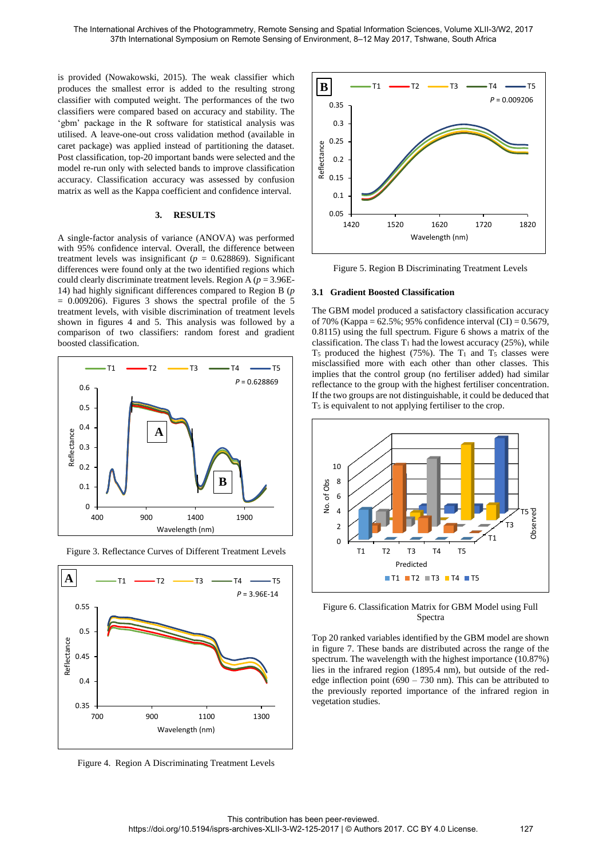is provided (Nowakowski, 2015). The weak classifier which produces the smallest error is added to the resulting strong classifier with computed weight. The performances of the two classifiers were compared based on accuracy and stability. The 'gbm' package in the R software for statistical analysis was utilised. A leave-one-out cross validation method (available in caret package) was applied instead of partitioning the dataset. Post classification, top-20 important bands were selected and the model re-run only with selected bands to improve classification accuracy. Classification accuracy was assessed by confusion matrix as well as the Kappa coefficient and confidence interval.

## **3. RESULTS**

A single-factor analysis of variance (ANOVA) was performed with 95% confidence interval. Overall, the difference between treatment levels was insignificant ( $p = 0.628869$ ). Significant differences were found only at the two identified regions which could clearly discriminate treatment levels. Region A  $(p = 3.96E -$ 14) had highly significant differences compared to Region B (*p*  $= 0.009206$ . Figures 3 shows the spectral profile of the 5 treatment levels, with visible discrimination of treatment levels shown in figures 4 and 5. This analysis was followed by a comparison of two classifiers: random forest and gradient boosted classification.





Figure 3. Reflectance Curves of Different Treatment Levels





Figure 5. Region B Discriminating Treatment Levels

#### **3.1 Gradient Boosted Classification**

The GBM model produced a satisfactory classification accuracy of 70% (Kappa = 62.5%; 95% confidence interval (CI) = 0.5679, 0.8115) using the full spectrum. Figure 6 shows a matrix of the classification. The class  $T_1$  had the lowest accuracy (25%), while T<sub>5</sub> produced the highest (75%). The  $T_1$  and  $T_5$  classes were misclassified more with each other than other classes. This implies that the control group (no fertiliser added) had similar reflectance to the group with the highest fertiliser concentration. If the two groups are not distinguishable, it could be deduced that T5 is equivalent to not applying fertiliser to the crop.



Figure 6. Classification Matrix for GBM Model using Full Spectra

Top 20 ranked variables identified by the GBM model are shown in figure 7. These bands are distributed across the range of the spectrum. The wavelength with the highest importance (10.87%) lies in the infrared region (1895.4 nm), but outside of the rededge inflection point (690 – 730 nm). This can be attributed to the previously reported importance of the infrared region in vegetation studies.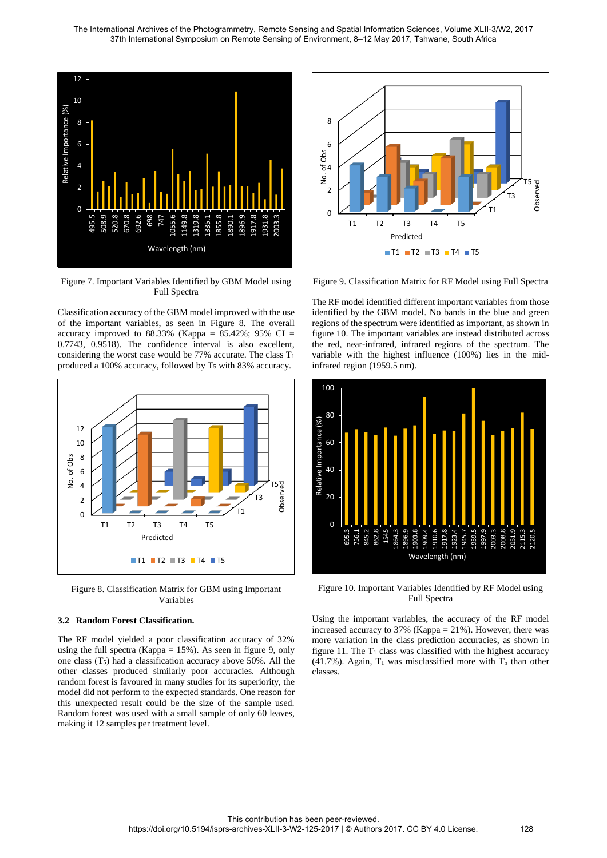

Figure 7. Important Variables Identified by GBM Model using Full Spectra

Classification accuracy of the GBM model improved with the use of the important variables, as seen in Figure 8. The overall accuracy improved to  $88.33\%$  (Kappa =  $85.42\%$ ; 95% CI = 0.7743, 0.9518). The confidence interval is also excellent, considering the worst case would be  $77\%$  accurate. The class  $T_1$ produced a 100% accuracy, followed by  $T_5$  with 83% accuracy.



Figure 8. Classification Matrix for GBM using Important Variables

# **3.2 Random Forest Classification.**

The RF model yielded a poor classification accuracy of 32% using the full spectra (Kappa = 15%). As seen in figure 9, only one class (T5) had a classification accuracy above 50%. All the other classes produced similarly poor accuracies. Although random forest is favoured in many studies for its superiority, the model did not perform to the expected standards. One reason for this unexpected result could be the size of the sample used. Random forest was used with a small sample of only 60 leaves, making it 12 samples per treatment level.



Figure 9. Classification Matrix for RF Model using Full Spectra

The RF model identified different important variables from those identified by the GBM model. No bands in the blue and green regions of the spectrum were identified as important, as shown in figure 10. The important variables are instead distributed across the red, near-infrared, infrared regions of the spectrum. The variable with the highest influence (100%) lies in the midinfrared region (1959.5 nm).



Figure 10. Important Variables Identified by RF Model using Full Spectra

Using the important variables, the accuracy of the RF model increased accuracy to 37% (Kappa = 21%). However, there was more variation in the class prediction accuracies, as shown in figure 11. The  $T_1$  class was classified with the highest accuracy (41.7%). Again,  $T_1$  was misclassified more with  $T_5$  than other classes.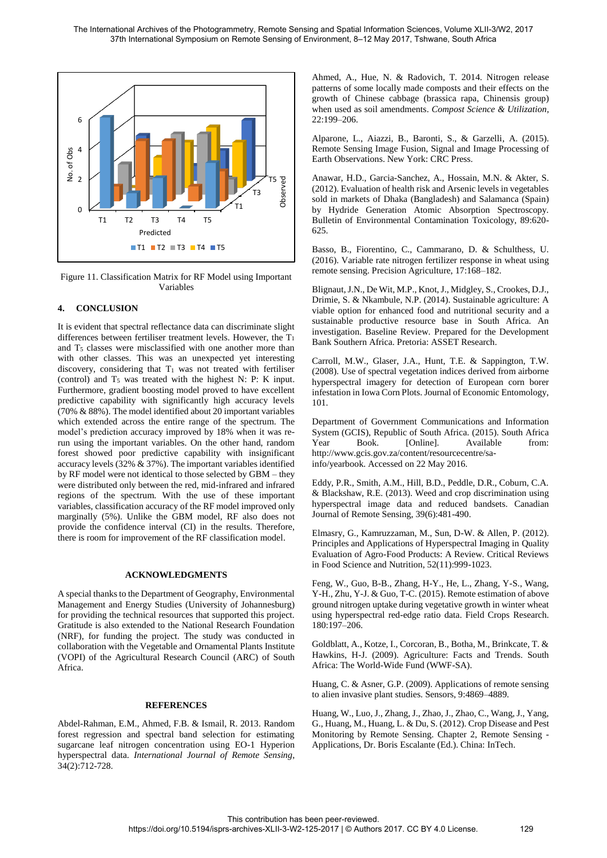

Figure 11. Classification Matrix for RF Model using Important Variables

# **4. CONCLUSION**

It is evident that spectral reflectance data can discriminate slight differences between fertiliser treatment levels. However, the T<sup>1</sup> and T<sub>5</sub> classes were misclassified with one another more than with other classes. This was an unexpected yet interesting discovery, considering that  $T_1$  was not treated with fertiliser (control) and  $T_5$  was treated with the highest N: P: K input. Furthermore, gradient boosting model proved to have excellent predictive capability with significantly high accuracy levels (70% & 88%). The model identified about 20 important variables which extended across the entire range of the spectrum. The model's prediction accuracy improved by 18% when it was rerun using the important variables. On the other hand, random forest showed poor predictive capability with insignificant accuracy levels (32%  $\&$  37%). The important variables identified by RF model were not identical to those selected by GBM – they were distributed only between the red, mid-infrared and infrared regions of the spectrum. With the use of these important variables, classification accuracy of the RF model improved only marginally (5%). Unlike the GBM model, RF also does not provide the confidence interval (CI) in the results. Therefore, there is room for improvement of the RF classification model.

## **ACKNOWLEDGMENTS**

A special thanks to the Department of Geography, Environmental Management and Energy Studies (University of Johannesburg) for providing the technical resources that supported this project. Gratitude is also extended to the National Research Foundation (NRF), for funding the project. The study was conducted in collaboration with the Vegetable and Ornamental Plants Institute (VOPI) of the Agricultural Research Council (ARC) of South Africa.

#### **REFERENCES**

Abdel-Rahman, E.M., Ahmed, F.B. & Ismail, R. 2013. Random forest regression and spectral band selection for estimating sugarcane leaf nitrogen concentration using EO-1 Hyperion hyperspectral data. *International Journal of Remote Sensing*, 34(2):712-728.

Ahmed, A., Hue, N. & Radovich, T. 2014. Nitrogen release patterns of some locally made composts and their effects on the growth of Chinese cabbage (brassica rapa, Chinensis group) when used as soil amendments. *Compost Science & Utilization*, 22:199–206.

Alparone, L., Aiazzi, B., Baronti, S., & Garzelli, A. (2015). Remote Sensing Image Fusion, Signal and Image Processing of Earth Observations. New York: CRC Press.

Anawar, H.D., Garcia-Sanchez, A., Hossain, M.N. & Akter, S. (2012). Evaluation of health risk and Arsenic levels in vegetables sold in markets of Dhaka (Bangladesh) and Salamanca (Spain) by Hydride Generation Atomic Absorption Spectroscopy. Bulletin of Environmental Contamination Toxicology, 89:620- 625.

Basso, B., Fiorentino, C., Cammarano, D. & Schulthess, U. (2016). Variable rate nitrogen fertilizer response in wheat using remote sensing. Precision Agriculture, 17:168–182.

Blignaut, J.N., De Wit, M.P., Knot, J., Midgley, S., Crookes, D.J., Drimie, S. & Nkambule, N.P. (2014). Sustainable agriculture: A viable option for enhanced food and nutritional security and a sustainable productive resource base in South Africa. An investigation. Baseline Review. Prepared for the Development Bank Southern Africa. Pretoria: ASSET Research.

Carroll, M.W., Glaser, J.A., Hunt, T.E. & Sappington, T.W. (2008). Use of spectral vegetation indices derived from airborne hyperspectral imagery for detection of European corn borer infestation in Iowa Corn Plots. Journal of Economic Entomology, 101.

Department of Government Communications and Information System (GCIS), Republic of South Africa. (2015). South Africa Year Book. [Online]. Available from: http://www.gcis.gov.za/content/resourcecentre/sainfo/yearbook. Accessed on 22 May 2016.

Eddy, P.R., Smith, A.M., Hill, B.D., Peddle, D.R., Coburn, C.A. & Blackshaw, R.E. (2013). Weed and crop discrimination using hyperspectral image data and reduced bandsets. Canadian Journal of Remote Sensing, 39(6):481-490.

Elmasry, G., Kamruzzaman, M., Sun, D-W. & Allen, P. (2012). Principles and Applications of Hyperspectral Imaging in Quality Evaluation of Agro-Food Products: A Review. Critical Reviews in Food Science and Nutrition, 52(11):999-1023.

Feng, W., Guo, B-B., Zhang, H-Y., He, L., Zhang, Y-S., Wang, Y-H., Zhu, Y-J. & Guo, T-C. (2015). Remote estimation of above ground nitrogen uptake during vegetative growth in winter wheat using hyperspectral red-edge ratio data. Field Crops Research. 180:197–206.

Goldblatt, A., Kotze, I., Corcoran, B., Botha, M., Brinkcate, T. & Hawkins, H-J. (2009). Agriculture: Facts and Trends. South Africa: The World-Wide Fund (WWF-SA).

Huang, C. & Asner, G.P. (2009). Applications of remote sensing to alien invasive plant studies. Sensors, 9:4869–4889.

Huang, W., Luo, J., Zhang, J., Zhao, J., Zhao, C., Wang, J., Yang, G., Huang, M., Huang, L. & Du, S. (2012). Crop Disease and Pest Monitoring by Remote Sensing. Chapter 2, Remote Sensing - Applications, Dr. Boris Escalante (Ed.). China: InTech.